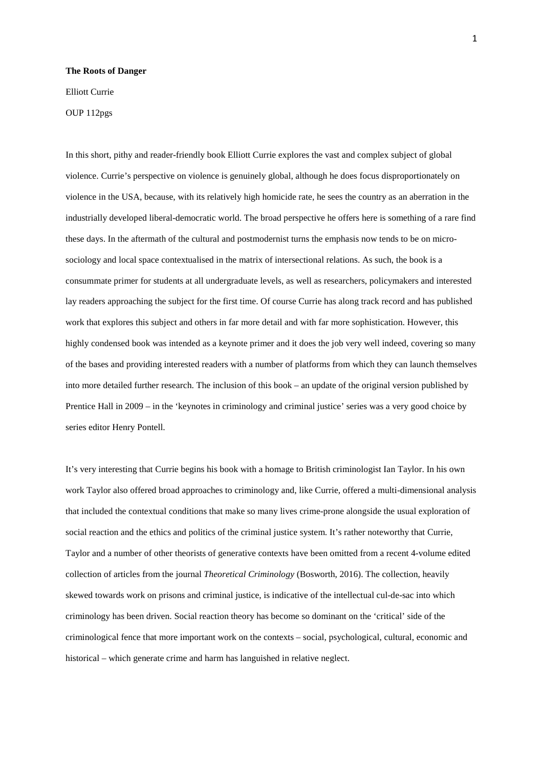## **The Roots of Danger**

Elliott Currie

OUP 112pgs

In this short, pithy and reader-friendly book Elliott Currie explores the vast and complex subject of global violence. Currie's perspective on violence is genuinely global, although he does focus disproportionately on violence in the USA, because, with its relatively high homicide rate, he sees the country as an aberration in the industrially developed liberal-democratic world. The broad perspective he offers here is something of a rare find these days. In the aftermath of the cultural and postmodernist turns the emphasis now tends to be on microsociology and local space contextualised in the matrix of intersectional relations. As such, the book is a consummate primer for students at all undergraduate levels, as well as researchers, policymakers and interested lay readers approaching the subject for the first time. Of course Currie has along track record and has published work that explores this subject and others in far more detail and with far more sophistication. However, this highly condensed book was intended as a keynote primer and it does the job very well indeed, covering so many of the bases and providing interested readers with a number of platforms from which they can launch themselves into more detailed further research. The inclusion of this book – an update of the original version published by Prentice Hall in 2009 – in the 'keynotes in criminology and criminal justice' series was a very good choice by series editor Henry Pontell.

It's very interesting that Currie begins his book with a homage to British criminologist Ian Taylor. In his own work Taylor also offered broad approaches to criminology and, like Currie, offered a multi-dimensional analysis that included the contextual conditions that make so many lives crime-prone alongside the usual exploration of social reaction and the ethics and politics of the criminal justice system. It's rather noteworthy that Currie, Taylor and a number of other theorists of generative contexts have been omitted from a recent 4-volume edited collection of articles from the journal *Theoretical Criminology* (Bosworth, 2016). The collection, heavily skewed towards work on prisons and criminal justice, is indicative of the intellectual cul-de-sac into which criminology has been driven. Social reaction theory has become so dominant on the 'critical' side of the criminological fence that more important work on the contexts – social, psychological, cultural, economic and historical – which generate crime and harm has languished in relative neglect.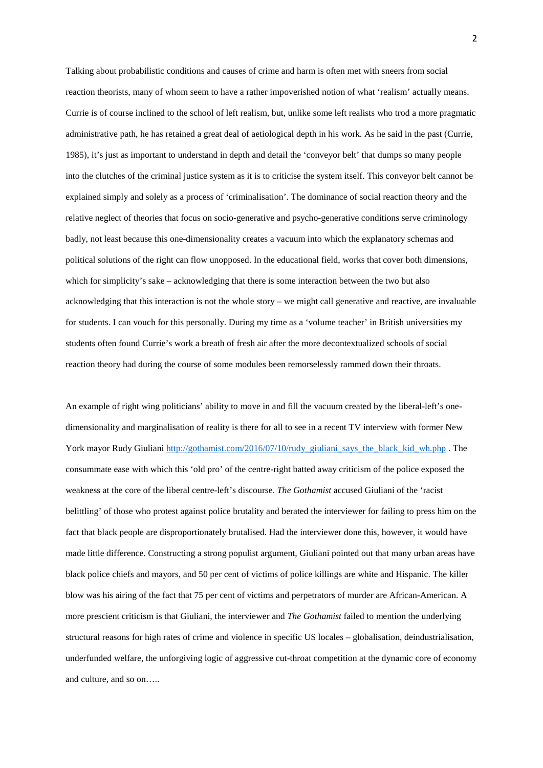Talking about probabilistic conditions and causes of crime and harm is often met with sneers from social reaction theorists, many of whom seem to have a rather impoverished notion of what 'realism' actually means. Currie is of course inclined to the school of left realism, but, unlike some left realists who trod a more pragmatic administrative path, he has retained a great deal of aetiological depth in his work. As he said in the past (Currie, 1985), it's just as important to understand in depth and detail the 'conveyor belt' that dumps so many people into the clutches of the criminal justice system as it is to criticise the system itself. This conveyor belt cannot be explained simply and solely as a process of 'criminalisation'. The dominance of social reaction theory and the relative neglect of theories that focus on socio-generative and psycho-generative conditions serve criminology badly, not least because this one-dimensionality creates a vacuum into which the explanatory schemas and political solutions of the right can flow unopposed. In the educational field, works that cover both dimensions, which for simplicity's sake – acknowledging that there is some interaction between the two but also acknowledging that this interaction is not the whole story – we might call generative and reactive, are invaluable for students. I can vouch for this personally. During my time as a 'volume teacher' in British universities my students often found Currie's work a breath of fresh air after the more decontextualized schools of social reaction theory had during the course of some modules been remorselessly rammed down their throats.

An example of right wing politicians' ability to move in and fill the vacuum created by the liberal-left's onedimensionality and marginalisation of reality is there for all to see in a recent TV interview with former New York mayor Rudy Giuliani [http://gothamist.com/2016/07/10/rudy\\_giuliani\\_says\\_the\\_black\\_kid\\_wh.php](http://gothamist.com/2016/07/10/rudy_giuliani_says_the_black_kid_wh.php) . The consummate ease with which this 'old pro' of the centre-right batted away criticism of the police exposed the weakness at the core of the liberal centre-left's discourse. *The Gothamist* accused Giuliani of the 'racist belittling' of those who protest against police brutality and berated the interviewer for failing to press him on the fact that black people are disproportionately brutalised. Had the interviewer done this, however, it would have made little difference. Constructing a strong populist argument, Giuliani pointed out that many urban areas have black police chiefs and mayors, and 50 per cent of victims of police killings are white and Hispanic. The killer blow was his airing of the fact that 75 per cent of victims and perpetrators of murder are African-American. A more prescient criticism is that Giuliani, the interviewer and *The Gothamist* failed to mention the underlying structural reasons for high rates of crime and violence in specific US locales – globalisation, deindustrialisation, underfunded welfare, the unforgiving logic of aggressive cut-throat competition at the dynamic core of economy and culture, and so on…..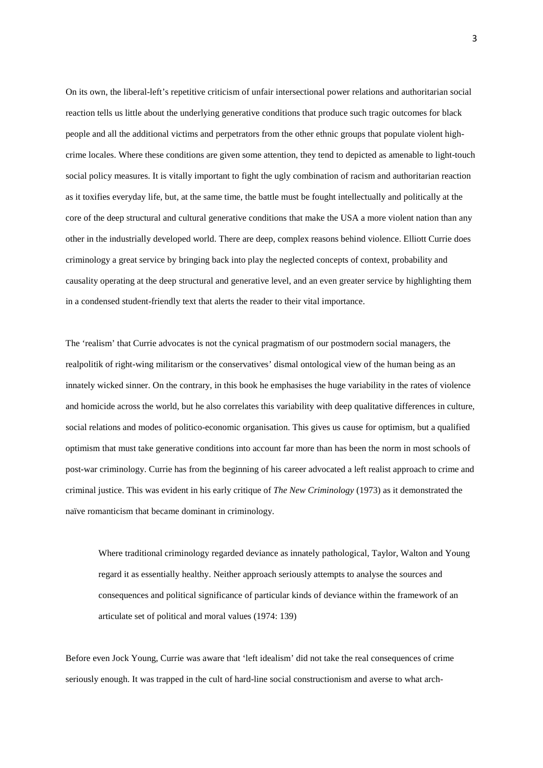On its own, the liberal-left's repetitive criticism of unfair intersectional power relations and authoritarian social reaction tells us little about the underlying generative conditions that produce such tragic outcomes for black people and all the additional victims and perpetrators from the other ethnic groups that populate violent highcrime locales. Where these conditions are given some attention, they tend to depicted as amenable to light-touch social policy measures. It is vitally important to fight the ugly combination of racism and authoritarian reaction as it toxifies everyday life, but, at the same time, the battle must be fought intellectually and politically at the core of the deep structural and cultural generative conditions that make the USA a more violent nation than any other in the industrially developed world. There are deep, complex reasons behind violence. Elliott Currie does criminology a great service by bringing back into play the neglected concepts of context, probability and causality operating at the deep structural and generative level, and an even greater service by highlighting them in a condensed student-friendly text that alerts the reader to their vital importance.

The 'realism' that Currie advocates is not the cynical pragmatism of our postmodern social managers, the realpolitik of right-wing militarism or the conservatives' dismal ontological view of the human being as an innately wicked sinner. On the contrary, in this book he emphasises the huge variability in the rates of violence and homicide across the world, but he also correlates this variability with deep qualitative differences in culture, social relations and modes of politico-economic organisation. This gives us cause for optimism, but a qualified optimism that must take generative conditions into account far more than has been the norm in most schools of post-war criminology. Currie has from the beginning of his career advocated a left realist approach to crime and criminal justice. This was evident in his early critique of *The New Criminology* (1973) as it demonstrated the naïve romanticism that became dominant in criminology.

Where traditional criminology regarded deviance as innately pathological, Taylor, Walton and Young regard it as essentially healthy. Neither approach seriously attempts to analyse the sources and consequences and political significance of particular kinds of deviance within the framework of an articulate set of political and moral values (1974: 139)

Before even Jock Young, Currie was aware that 'left idealism' did not take the real consequences of crime seriously enough. It was trapped in the cult of hard-line social constructionism and averse to what arch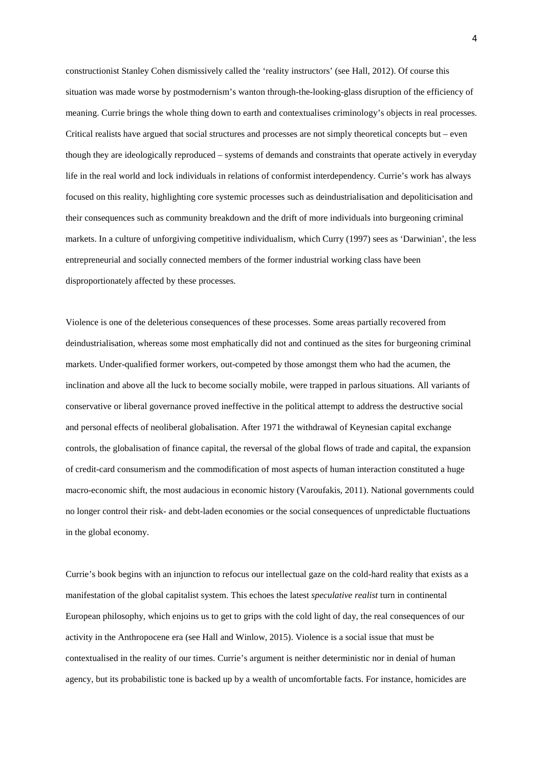constructionist Stanley Cohen dismissively called the 'reality instructors' (see Hall, 2012). Of course this situation was made worse by postmodernism's wanton through-the-looking-glass disruption of the efficiency of meaning. Currie brings the whole thing down to earth and contextualises criminology's objects in real processes. Critical realists have argued that social structures and processes are not simply theoretical concepts but – even though they are ideologically reproduced – systems of demands and constraints that operate actively in everyday life in the real world and lock individuals in relations of conformist interdependency. Currie's work has always focused on this reality, highlighting core systemic processes such as deindustrialisation and depoliticisation and their consequences such as community breakdown and the drift of more individuals into burgeoning criminal markets. In a culture of unforgiving competitive individualism, which Curry (1997) sees as 'Darwinian', the less entrepreneurial and socially connected members of the former industrial working class have been disproportionately affected by these processes.

Violence is one of the deleterious consequences of these processes. Some areas partially recovered from deindustrialisation, whereas some most emphatically did not and continued as the sites for burgeoning criminal markets. Under-qualified former workers, out-competed by those amongst them who had the acumen, the inclination and above all the luck to become socially mobile, were trapped in parlous situations. All variants of conservative or liberal governance proved ineffective in the political attempt to address the destructive social and personal effects of neoliberal globalisation. After 1971 the withdrawal of Keynesian capital exchange controls, the globalisation of finance capital, the reversal of the global flows of trade and capital, the expansion of credit-card consumerism and the commodification of most aspects of human interaction constituted a huge macro-economic shift, the most audacious in economic history (Varoufakis, 2011). National governments could no longer control their risk- and debt-laden economies or the social consequences of unpredictable fluctuations in the global economy.

Currie's book begins with an injunction to refocus our intellectual gaze on the cold-hard reality that exists as a manifestation of the global capitalist system. This echoes the latest *speculative realist* turn in continental European philosophy, which enjoins us to get to grips with the cold light of day, the real consequences of our activity in the Anthropocene era (see Hall and Winlow, 2015). Violence is a social issue that must be contextualised in the reality of our times. Currie's argument is neither deterministic nor in denial of human agency, but its probabilistic tone is backed up by a wealth of uncomfortable facts. For instance, homicides are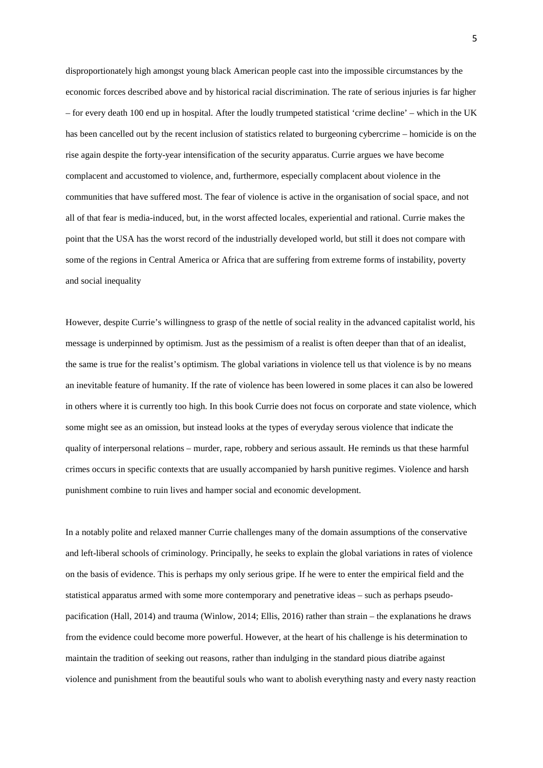disproportionately high amongst young black American people cast into the impossible circumstances by the economic forces described above and by historical racial discrimination. The rate of serious injuries is far higher – for every death 100 end up in hospital. After the loudly trumpeted statistical 'crime decline' – which in the UK has been cancelled out by the recent inclusion of statistics related to burgeoning cybercrime – homicide is on the rise again despite the forty-year intensification of the security apparatus. Currie argues we have become complacent and accustomed to violence, and, furthermore, especially complacent about violence in the communities that have suffered most. The fear of violence is active in the organisation of social space, and not all of that fear is media-induced, but, in the worst affected locales, experiential and rational. Currie makes the point that the USA has the worst record of the industrially developed world, but still it does not compare with some of the regions in Central America or Africa that are suffering from extreme forms of instability, poverty and social inequality

However, despite Currie's willingness to grasp of the nettle of social reality in the advanced capitalist world, his message is underpinned by optimism. Just as the pessimism of a realist is often deeper than that of an idealist, the same is true for the realist's optimism. The global variations in violence tell us that violence is by no means an inevitable feature of humanity. If the rate of violence has been lowered in some places it can also be lowered in others where it is currently too high. In this book Currie does not focus on corporate and state violence, which some might see as an omission, but instead looks at the types of everyday serous violence that indicate the quality of interpersonal relations – murder, rape, robbery and serious assault. He reminds us that these harmful crimes occurs in specific contexts that are usually accompanied by harsh punitive regimes. Violence and harsh punishment combine to ruin lives and hamper social and economic development.

In a notably polite and relaxed manner Currie challenges many of the domain assumptions of the conservative and left-liberal schools of criminology. Principally, he seeks to explain the global variations in rates of violence on the basis of evidence. This is perhaps my only serious gripe. If he were to enter the empirical field and the statistical apparatus armed with some more contemporary and penetrative ideas – such as perhaps pseudopacification (Hall, 2014) and trauma (Winlow, 2014; Ellis, 2016) rather than strain – the explanations he draws from the evidence could become more powerful. However, at the heart of his challenge is his determination to maintain the tradition of seeking out reasons, rather than indulging in the standard pious diatribe against violence and punishment from the beautiful souls who want to abolish everything nasty and every nasty reaction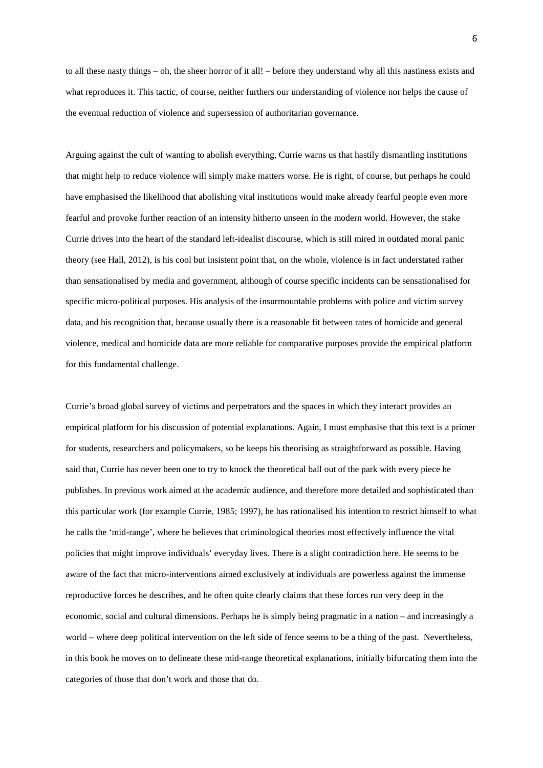to all these nasty things – oh, the sheer horror of it all! – before they understand why all this nastiness exists and what reproduces it. This tactic, of course, neither furthers our understanding of violence nor helps the cause of the eventual reduction of violence and supersession of authoritarian governance.

Arguing against the cult of wanting to abolish everything, Currie warns us that hastily dismantling institutions that might help to reduce violence will simply make matters worse. He is right, of course, but perhaps he could have emphasised the likelihood that abolishing vital institutions would make already fearful people even more fearful and provoke further reaction of an intensity hitherto unseen in the modern world. However, the stake Currie drives into the heart of the standard left-idealist discourse, which is still mired in outdated moral panic theory (see Hall, 2012), is his cool but insistent point that, on the whole, violence is in fact understated rather than sensationalised by media and government, although of course specific incidents can be sensationalised for specific micro-political purposes. His analysis of the insurmountable problems with police and victim survey data, and his recognition that, because usually there is a reasonable fit between rates of homicide and general violence, medical and homicide data are more reliable for comparative purposes provide the empirical platform for this fundamental challenge.

Currie's broad global survey of victims and perpetrators and the spaces in which they interact provides an empirical platform for his discussion of potential explanations. Again, I must emphasise that this text is a primer for students, researchers and policymakers, so he keeps his theorising as straightforward as possible. Having said that, Currie has never been one to try to knock the theoretical ball out of the park with every piece he publishes. In previous work aimed at the academic audience, and therefore more detailed and sophisticated than this particular work (for example Currie, 1985; 1997), he has rationalised his intention to restrict himself to what he calls the 'mid-range', where he believes that criminological theories most effectively influence the vital policies that might improve individuals' everyday lives. There is a slight contradiction here. He seems to be aware of the fact that micro-interventions aimed exclusively at individuals are powerless against the immense reproductive forces he describes, and he often quite clearly claims that these forces run very deep in the economic, social and cultural dimensions. Perhaps he is simply being pragmatic in a nation – and increasingly a world – where deep political intervention on the left side of fence seems to be a thing of the past. Nevertheless, in this book he moves on to delineate these mid-range theoretical explanations, initially bifurcating them into the categories of those that don't work and those that do.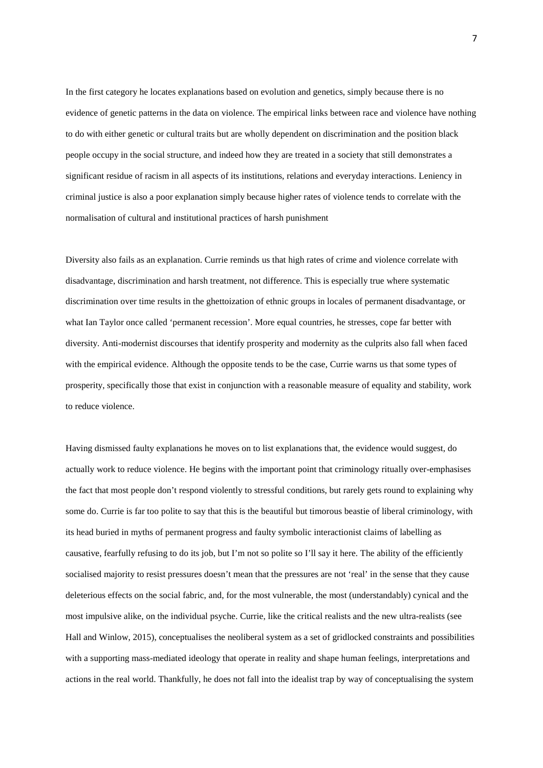In the first category he locates explanations based on evolution and genetics, simply because there is no evidence of genetic patterns in the data on violence. The empirical links between race and violence have nothing to do with either genetic or cultural traits but are wholly dependent on discrimination and the position black people occupy in the social structure, and indeed how they are treated in a society that still demonstrates a significant residue of racism in all aspects of its institutions, relations and everyday interactions. Leniency in criminal justice is also a poor explanation simply because higher rates of violence tends to correlate with the normalisation of cultural and institutional practices of harsh punishment

Diversity also fails as an explanation. Currie reminds us that high rates of crime and violence correlate with disadvantage, discrimination and harsh treatment, not difference. This is especially true where systematic discrimination over time results in the ghettoization of ethnic groups in locales of permanent disadvantage, or what Ian Taylor once called 'permanent recession'. More equal countries, he stresses, cope far better with diversity. Anti-modernist discourses that identify prosperity and modernity as the culprits also fall when faced with the empirical evidence. Although the opposite tends to be the case, Currie warns us that some types of prosperity, specifically those that exist in conjunction with a reasonable measure of equality and stability, work to reduce violence.

Having dismissed faulty explanations he moves on to list explanations that, the evidence would suggest, do actually work to reduce violence. He begins with the important point that criminology ritually over-emphasises the fact that most people don't respond violently to stressful conditions, but rarely gets round to explaining why some do. Currie is far too polite to say that this is the beautiful but timorous beastie of liberal criminology, with its head buried in myths of permanent progress and faulty symbolic interactionist claims of labelling as causative, fearfully refusing to do its job, but I'm not so polite so I'll say it here. The ability of the efficiently socialised majority to resist pressures doesn't mean that the pressures are not 'real' in the sense that they cause deleterious effects on the social fabric, and, for the most vulnerable, the most (understandably) cynical and the most impulsive alike, on the individual psyche. Currie, like the critical realists and the new ultra-realists (see Hall and Winlow, 2015), conceptualises the neoliberal system as a set of gridlocked constraints and possibilities with a supporting mass-mediated ideology that operate in reality and shape human feelings, interpretations and actions in the real world. Thankfully, he does not fall into the idealist trap by way of conceptualising the system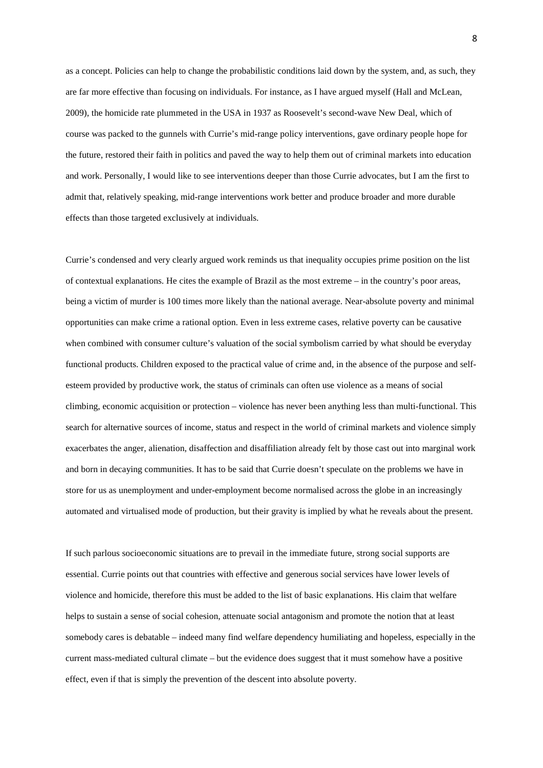as a concept. Policies can help to change the probabilistic conditions laid down by the system, and, as such, they are far more effective than focusing on individuals. For instance, as I have argued myself (Hall and McLean, 2009), the homicide rate plummeted in the USA in 1937 as Roosevelt's second-wave New Deal, which of course was packed to the gunnels with Currie's mid-range policy interventions, gave ordinary people hope for the future, restored their faith in politics and paved the way to help them out of criminal markets into education and work. Personally, I would like to see interventions deeper than those Currie advocates, but I am the first to admit that, relatively speaking, mid-range interventions work better and produce broader and more durable effects than those targeted exclusively at individuals.

Currie's condensed and very clearly argued work reminds us that inequality occupies prime position on the list of contextual explanations. He cites the example of Brazil as the most extreme – in the country's poor areas, being a victim of murder is 100 times more likely than the national average. Near-absolute poverty and minimal opportunities can make crime a rational option. Even in less extreme cases, relative poverty can be causative when combined with consumer culture's valuation of the social symbolism carried by what should be everyday functional products. Children exposed to the practical value of crime and, in the absence of the purpose and selfesteem provided by productive work, the status of criminals can often use violence as a means of social climbing, economic acquisition or protection – violence has never been anything less than multi-functional. This search for alternative sources of income, status and respect in the world of criminal markets and violence simply exacerbates the anger, alienation, disaffection and disaffiliation already felt by those cast out into marginal work and born in decaying communities. It has to be said that Currie doesn't speculate on the problems we have in store for us as unemployment and under-employment become normalised across the globe in an increasingly automated and virtualised mode of production, but their gravity is implied by what he reveals about the present.

If such parlous socioeconomic situations are to prevail in the immediate future, strong social supports are essential. Currie points out that countries with effective and generous social services have lower levels of violence and homicide, therefore this must be added to the list of basic explanations. His claim that welfare helps to sustain a sense of social cohesion, attenuate social antagonism and promote the notion that at least somebody cares is debatable – indeed many find welfare dependency humiliating and hopeless, especially in the current mass-mediated cultural climate – but the evidence does suggest that it must somehow have a positive effect, even if that is simply the prevention of the descent into absolute poverty.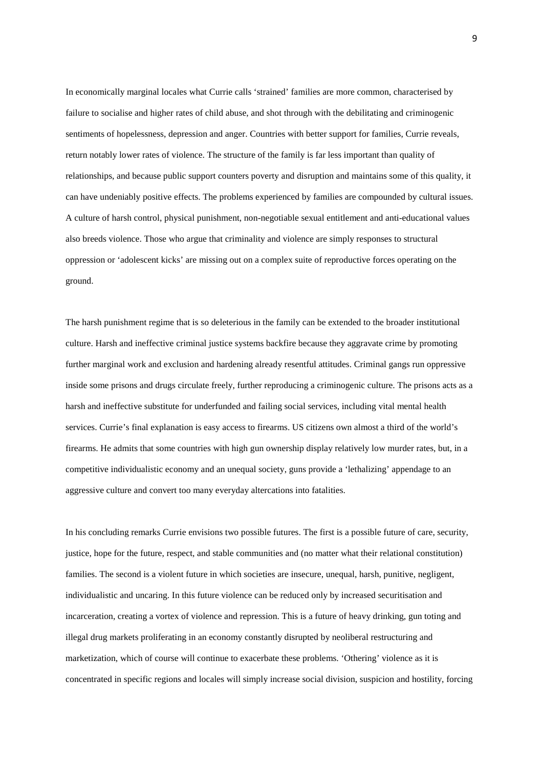In economically marginal locales what Currie calls 'strained' families are more common, characterised by failure to socialise and higher rates of child abuse, and shot through with the debilitating and criminogenic sentiments of hopelessness, depression and anger. Countries with better support for families, Currie reveals, return notably lower rates of violence. The structure of the family is far less important than quality of relationships, and because public support counters poverty and disruption and maintains some of this quality, it can have undeniably positive effects. The problems experienced by families are compounded by cultural issues. A culture of harsh control, physical punishment, non-negotiable sexual entitlement and anti-educational values also breeds violence. Those who argue that criminality and violence are simply responses to structural oppression or 'adolescent kicks' are missing out on a complex suite of reproductive forces operating on the ground.

The harsh punishment regime that is so deleterious in the family can be extended to the broader institutional culture. Harsh and ineffective criminal justice systems backfire because they aggravate crime by promoting further marginal work and exclusion and hardening already resentful attitudes. Criminal gangs run oppressive inside some prisons and drugs circulate freely, further reproducing a criminogenic culture. The prisons acts as a harsh and ineffective substitute for underfunded and failing social services, including vital mental health services. Currie's final explanation is easy access to firearms. US citizens own almost a third of the world's firearms. He admits that some countries with high gun ownership display relatively low murder rates, but, in a competitive individualistic economy and an unequal society, guns provide a 'lethalizing' appendage to an aggressive culture and convert too many everyday altercations into fatalities.

In his concluding remarks Currie envisions two possible futures. The first is a possible future of care, security, justice, hope for the future, respect, and stable communities and (no matter what their relational constitution) families. The second is a violent future in which societies are insecure, unequal, harsh, punitive, negligent, individualistic and uncaring. In this future violence can be reduced only by increased securitisation and incarceration, creating a vortex of violence and repression. This is a future of heavy drinking, gun toting and illegal drug markets proliferating in an economy constantly disrupted by neoliberal restructuring and marketization, which of course will continue to exacerbate these problems. 'Othering' violence as it is concentrated in specific regions and locales will simply increase social division, suspicion and hostility, forcing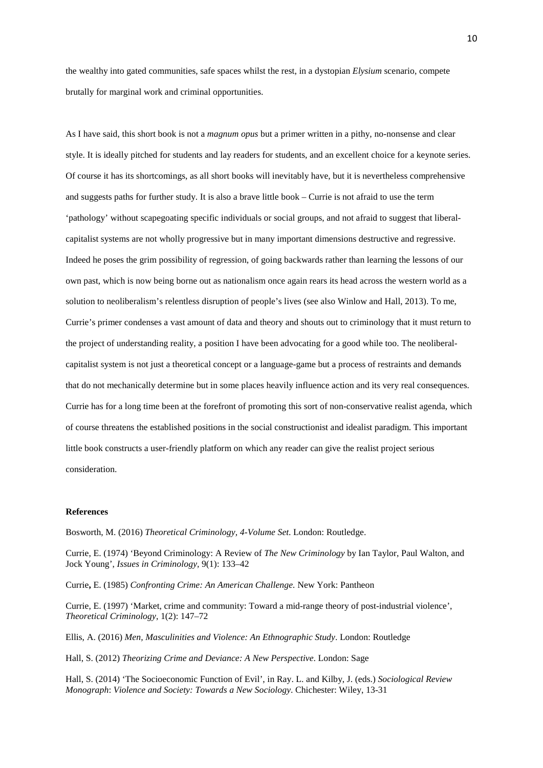the wealthy into gated communities, safe spaces whilst the rest, in a dystopian *Elysium* scenario, compete brutally for marginal work and criminal opportunities.

As I have said, this short book is not a *magnum opus* but a primer written in a pithy, no-nonsense and clear style. It is ideally pitched for students and lay readers for students, and an excellent choice for a keynote series. Of course it has its shortcomings, as all short books will inevitably have, but it is nevertheless comprehensive and suggests paths for further study. It is also a brave little book – Currie is not afraid to use the term 'pathology' without scapegoating specific individuals or social groups, and not afraid to suggest that liberalcapitalist systems are not wholly progressive but in many important dimensions destructive and regressive. Indeed he poses the grim possibility of regression, of going backwards rather than learning the lessons of our own past, which is now being borne out as nationalism once again rears its head across the western world as a solution to neoliberalism's relentless disruption of people's lives (see also Winlow and Hall, 2013). To me, Currie's primer condenses a vast amount of data and theory and shouts out to criminology that it must return to the project of understanding reality, a position I have been advocating for a good while too. The neoliberalcapitalist system is not just a theoretical concept or a language-game but a process of restraints and demands that do not mechanically determine but in some places heavily influence action and its very real consequences. Currie has for a long time been at the forefront of promoting this sort of non-conservative realist agenda, which of course threatens the established positions in the social constructionist and idealist paradigm. This important little book constructs a user-friendly platform on which any reader can give the realist project serious consideration.

## **References**

Bosworth, M. (2016) *Theoretical Criminology, 4-Volume Set*. London: Routledge.

Currie, E. (1974) 'Beyond Criminology: A Review of *The New Criminology* by Ian Taylor, Paul Walton, and Jock Young', *Issues in Criminology,* 9(1): 133–42

Currie**,** E. (1985) *Confronting Crime: An American Challenge.* New York: Pantheon

Currie, E. (1997) 'Market, crime and community: Toward a mid-range theory of post-industrial violence', *Theoretical Criminology*, 1(2): 147–72

Ellis, A. (2016) *Men, Masculinities and Violence: An Ethnographic Study*. London: Routledge

Hall, S. (2012) *Theorizing Crime and Deviance: A New Perspective*. London: Sage

Hall, S. (2014) 'The Socioeconomic Function of Evil', in Ray. L. and Kilby, J. (eds.) *Sociological Review Monograph*: *Violence and Society: Towards a New Sociology*. Chichester: Wiley, 13-31